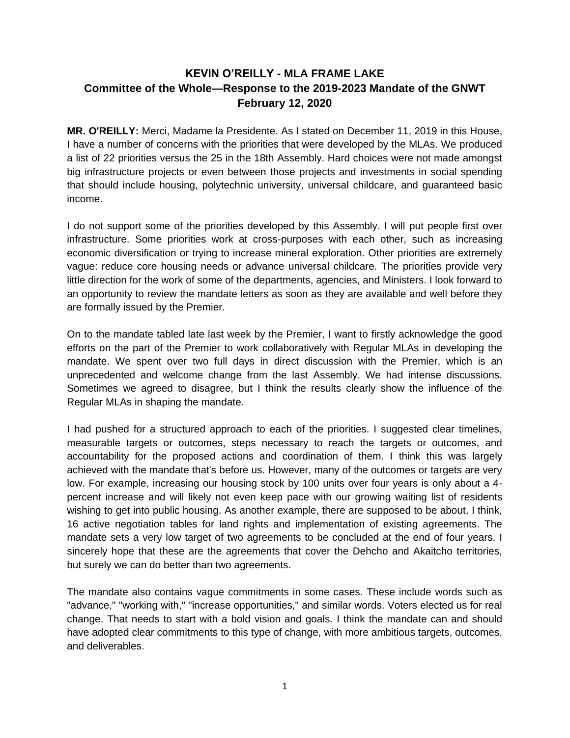## **KEVIN O'REILLY - MLA FRAME LAKE Committee of the Whole—Response to the 2019-2023 Mandate of the GNWT February 12, 2020**

**MR. O'REILLY:** Merci, Madame la Presidente. As I stated on December 11, 2019 in this House, I have a number of concerns with the priorities that were developed by the MLAs. We produced a list of 22 priorities versus the 25 in the 18th Assembly. Hard choices were not made amongst big infrastructure projects or even between those projects and investments in social spending that should include housing, polytechnic university, universal childcare, and guaranteed basic income.

I do not support some of the priorities developed by this Assembly. I will put people first over infrastructure. Some priorities work at cross-purposes with each other, such as increasing economic diversification or trying to increase mineral exploration. Other priorities are extremely vague: reduce core housing needs or advance universal childcare. The priorities provide very little direction for the work of some of the departments, agencies, and Ministers. I look forward to an opportunity to review the mandate letters as soon as they are available and well before they are formally issued by the Premier.

On to the mandate tabled late last week by the Premier, I want to firstly acknowledge the good efforts on the part of the Premier to work collaboratively with Regular MLAs in developing the mandate. We spent over two full days in direct discussion with the Premier, which is an unprecedented and welcome change from the last Assembly. We had intense discussions. Sometimes we agreed to disagree, but I think the results clearly show the influence of the Regular MLAs in shaping the mandate.

I had pushed for a structured approach to each of the priorities. I suggested clear timelines, measurable targets or outcomes, steps necessary to reach the targets or outcomes, and accountability for the proposed actions and coordination of them. I think this was largely achieved with the mandate that's before us. However, many of the outcomes or targets are very low. For example, increasing our housing stock by 100 units over four years is only about a 4 percent increase and will likely not even keep pace with our growing waiting list of residents wishing to get into public housing. As another example, there are supposed to be about, I think, 16 active negotiation tables for land rights and implementation of existing agreements. The mandate sets a very low target of two agreements to be concluded at the end of four years. I sincerely hope that these are the agreements that cover the Dehcho and Akaitcho territories, but surely we can do better than two agreements.

The mandate also contains vague commitments in some cases. These include words such as "advance," "working with," "increase opportunities," and similar words. Voters elected us for real change. That needs to start with a bold vision and goals. I think the mandate can and should have adopted clear commitments to this type of change, with more ambitious targets, outcomes, and deliverables.